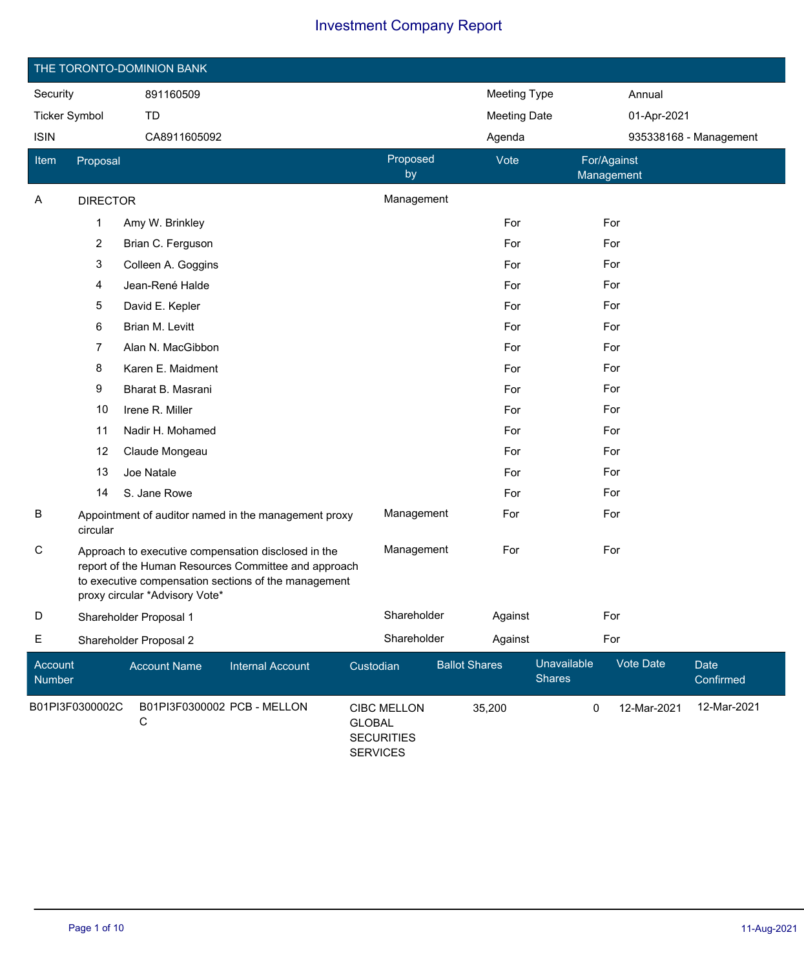|                             | THE TORONTO-DOMINION BANK |                                  |                                                                                                                                                                     |                                                                             |                      |                     |                              |             |                        |  |  |
|-----------------------------|---------------------------|----------------------------------|---------------------------------------------------------------------------------------------------------------------------------------------------------------------|-----------------------------------------------------------------------------|----------------------|---------------------|------------------------------|-------------|------------------------|--|--|
| Security                    |                           | 891160509                        |                                                                                                                                                                     |                                                                             |                      | <b>Meeting Type</b> |                              | Annual      |                        |  |  |
| <b>Ticker Symbol</b>        |                           | TD                               |                                                                                                                                                                     |                                                                             |                      | <b>Meeting Date</b> |                              | 01-Apr-2021 |                        |  |  |
| <b>ISIN</b>                 |                           | CA8911605092                     |                                                                                                                                                                     |                                                                             |                      | Agenda              |                              |             | 935338168 - Management |  |  |
| Item                        | Proposal                  |                                  |                                                                                                                                                                     | Proposed<br>by                                                              |                      | Vote                | For/Against<br>Management    |             |                        |  |  |
| A                           | <b>DIRECTOR</b>           |                                  |                                                                                                                                                                     | Management                                                                  |                      |                     |                              |             |                        |  |  |
|                             | $\mathbf{1}$              | Amy W. Brinkley                  |                                                                                                                                                                     |                                                                             |                      | For                 |                              | For         |                        |  |  |
|                             | $\overline{2}$            | Brian C. Ferguson                |                                                                                                                                                                     |                                                                             |                      | For                 |                              | For         |                        |  |  |
|                             | 3                         | Colleen A. Goggins               |                                                                                                                                                                     |                                                                             |                      | For                 |                              | For         |                        |  |  |
|                             | 4                         | Jean-René Halde                  |                                                                                                                                                                     |                                                                             |                      | For                 |                              | For         |                        |  |  |
|                             | $\mathbf 5$               | David E. Kepler                  |                                                                                                                                                                     |                                                                             |                      | For                 |                              | For         |                        |  |  |
|                             | 6                         | Brian M. Levitt                  |                                                                                                                                                                     |                                                                             |                      | For                 |                              | For         |                        |  |  |
| 7<br>Alan N. MacGibbon      |                           |                                  |                                                                                                                                                                     |                                                                             |                      | For                 |                              | For         |                        |  |  |
|                             | 8                         | Karen E. Maidment                |                                                                                                                                                                     |                                                                             | For                  |                     | For                          |             |                        |  |  |
|                             | 9                         | Bharat B. Masrani                |                                                                                                                                                                     |                                                                             |                      | For                 |                              | For         |                        |  |  |
|                             | 10                        | Irene R. Miller                  |                                                                                                                                                                     |                                                                             |                      | For                 |                              | For         |                        |  |  |
|                             | 11                        | Nadir H. Mohamed                 |                                                                                                                                                                     |                                                                             |                      | For                 |                              | For         |                        |  |  |
|                             | 12                        | Claude Mongeau                   |                                                                                                                                                                     |                                                                             |                      | For                 |                              | For         |                        |  |  |
|                             | 13                        | Joe Natale                       |                                                                                                                                                                     |                                                                             |                      | For                 |                              | For         |                        |  |  |
|                             | 14                        | S. Jane Rowe                     |                                                                                                                                                                     |                                                                             |                      | For                 |                              | For         |                        |  |  |
| B                           | circular                  |                                  | Appointment of auditor named in the management proxy                                                                                                                | Management                                                                  |                      | For                 |                              | For         |                        |  |  |
| С                           |                           | proxy circular *Advisory Vote*   | Approach to executive compensation disclosed in the<br>report of the Human Resources Committee and approach<br>to executive compensation sections of the management | Management                                                                  |                      | For                 |                              | For         |                        |  |  |
| D                           |                           | Shareholder Proposal 1           |                                                                                                                                                                     | Shareholder                                                                 |                      | Against             |                              | For         |                        |  |  |
| E<br>Shareholder Proposal 2 |                           |                                  |                                                                                                                                                                     | Shareholder                                                                 |                      | Against             |                              | For         |                        |  |  |
| Account<br>Number           |                           | <b>Account Name</b>              | <b>Internal Account</b>                                                                                                                                             | Custodian                                                                   | <b>Ballot Shares</b> |                     | Unavailable<br><b>Shares</b> | Vote Date   | Date<br>Confirmed      |  |  |
|                             | B01PI3F0300002C           | B01PI3F0300002 PCB - MELLON<br>С |                                                                                                                                                                     | <b>CIBC MELLON</b><br><b>GLOBAL</b><br><b>SECURITIES</b><br><b>SERVICES</b> |                      | 35,200              | 0                            | 12-Mar-2021 | 12-Mar-2021            |  |  |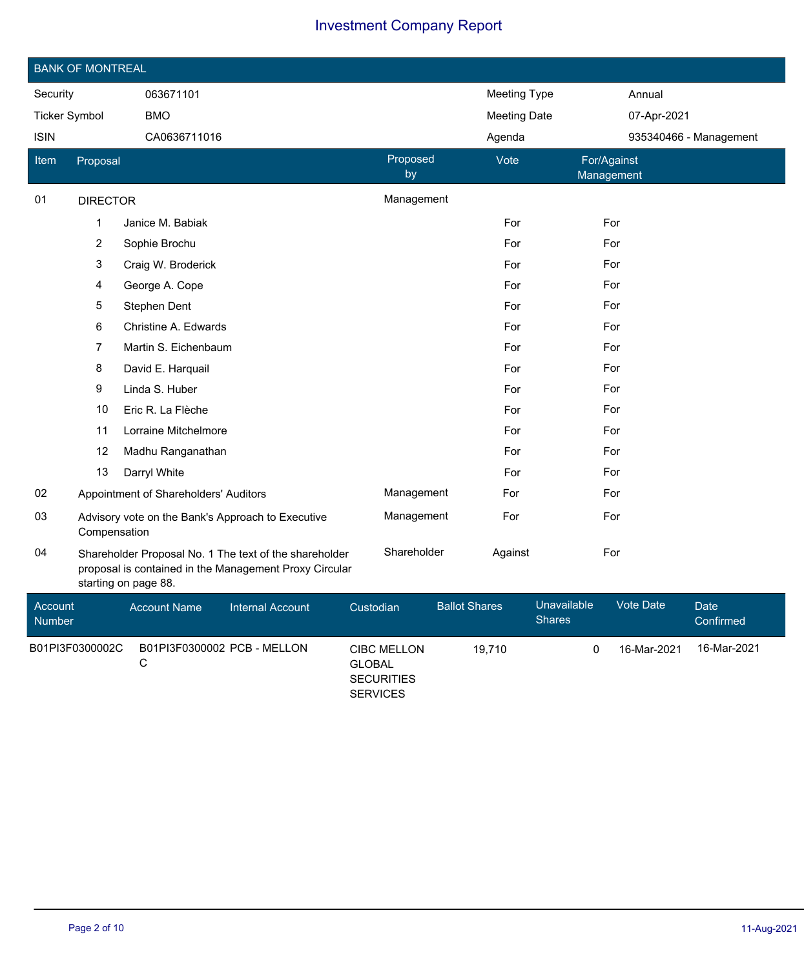|                          | <b>BANK OF MONTREAL</b>                                                                                                                  |                                       |                                                   |             |                |                      |                              |             |                          |  |  |
|--------------------------|------------------------------------------------------------------------------------------------------------------------------------------|---------------------------------------|---------------------------------------------------|-------------|----------------|----------------------|------------------------------|-------------|--------------------------|--|--|
| Security                 |                                                                                                                                          | 063671101                             |                                                   |             |                | <b>Meeting Type</b>  |                              | Annual      |                          |  |  |
| <b>Ticker Symbol</b>     |                                                                                                                                          | <b>BMO</b>                            |                                                   |             |                | <b>Meeting Date</b>  |                              | 07-Apr-2021 |                          |  |  |
| <b>ISIN</b>              |                                                                                                                                          | CA0636711016                          |                                                   |             |                | Agenda               |                              |             | 935340466 - Management   |  |  |
| Item                     | Proposal                                                                                                                                 |                                       |                                                   |             | Proposed<br>by | Vote                 | For/Against<br>Management    |             |                          |  |  |
| 01                       | <b>DIRECTOR</b>                                                                                                                          |                                       |                                                   |             | Management     |                      |                              |             |                          |  |  |
|                          | $\mathbf{1}$                                                                                                                             | Janice M. Babiak                      |                                                   |             |                | For                  | For                          |             |                          |  |  |
|                          | $\mathbf{2}$                                                                                                                             | Sophie Brochu                         |                                                   |             |                | For                  | For                          |             |                          |  |  |
|                          | 3                                                                                                                                        | Craig W. Broderick                    |                                                   |             |                | For                  | For                          |             |                          |  |  |
|                          | 4                                                                                                                                        | George A. Cope                        |                                                   |             |                | For                  | For                          |             |                          |  |  |
|                          | $\overline{5}$                                                                                                                           | Stephen Dent                          |                                                   |             |                | For                  | For                          |             |                          |  |  |
|                          | 6<br>Christine A. Edwards                                                                                                                |                                       |                                                   |             | For            | For                  |                              |             |                          |  |  |
|                          | 7                                                                                                                                        | Martin S. Eichenbaum                  |                                                   |             |                | For                  | For                          |             |                          |  |  |
|                          | 8                                                                                                                                        | David E. Harquail                     |                                                   |             |                | For                  | For                          |             |                          |  |  |
|                          | 9                                                                                                                                        | Linda S. Huber                        |                                                   |             |                | For                  | For                          |             |                          |  |  |
|                          | 10                                                                                                                                       | Eric R. La Flèche                     |                                                   |             |                | For                  | For                          |             |                          |  |  |
|                          | 11                                                                                                                                       | Lorraine Mitchelmore                  |                                                   |             |                | For                  | For                          |             |                          |  |  |
|                          | 12                                                                                                                                       | Madhu Ranganathan                     |                                                   |             |                | For                  | For                          |             |                          |  |  |
|                          | 13                                                                                                                                       | Darryl White                          |                                                   |             |                | For                  | For                          |             |                          |  |  |
| 02                       |                                                                                                                                          | Appointment of Shareholders' Auditors |                                                   |             | Management     | For                  | For                          |             |                          |  |  |
| 03                       | Compensation                                                                                                                             |                                       | Advisory vote on the Bank's Approach to Executive |             | Management     | For                  | For                          |             |                          |  |  |
| 04                       | Shareholder Proposal No. 1 The text of the shareholder<br>proposal is contained in the Management Proxy Circular<br>starting on page 88. |                                       |                                                   | Shareholder | Against        | For                  |                              |             |                          |  |  |
| Account<br><b>Numbor</b> |                                                                                                                                          | <b>Account Name</b>                   | <b>Internal Account</b>                           | Custodian   |                | <b>Ballot Shares</b> | Unavailable<br><b>Shares</b> | Vote Date   | <b>Date</b><br>Confirmed |  |  |

| Number          |                             |                                                                      | <b>Shares</b> |             | Confirmed   |
|-----------------|-----------------------------|----------------------------------------------------------------------|---------------|-------------|-------------|
| B01PI3F0300002C | B01PI3F0300002 PCB - MELLON | <b>CIBC MELLON</b><br>GLOBAL<br><b>SECURITIES</b><br><b>SERVICES</b> | 19.710        | 16-Mar-2021 | 16-Mar-2021 |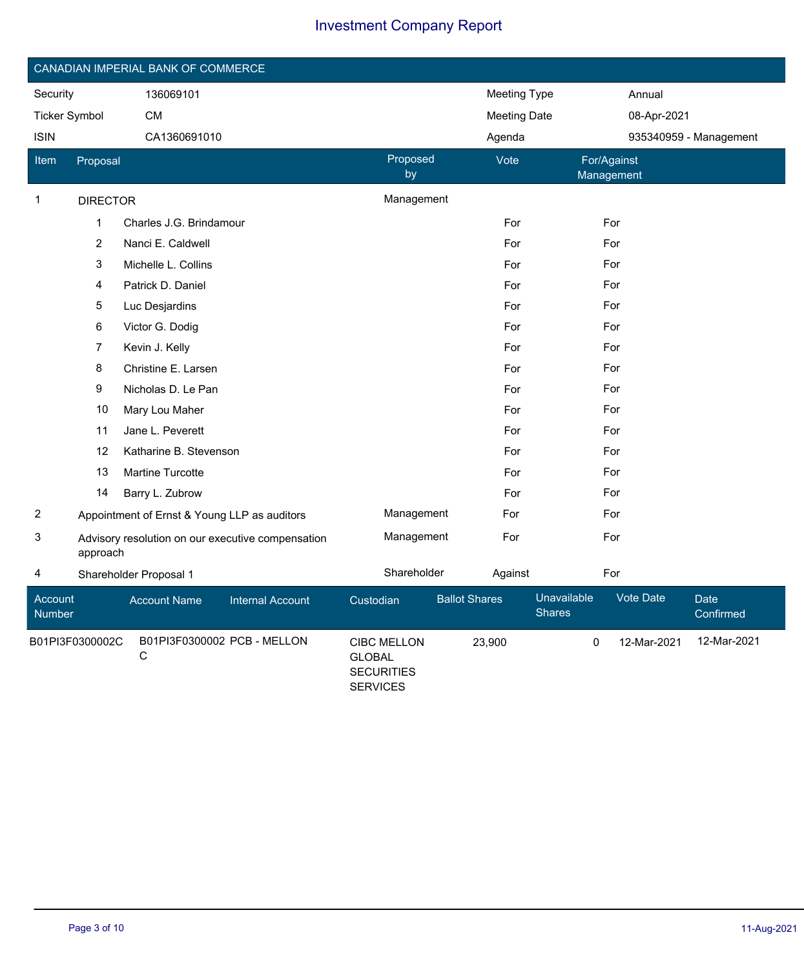|                      | CANADIAN IMPERIAL BANK OF COMMERCE                            |                         |                |                     |                           |  |  |  |  |  |
|----------------------|---------------------------------------------------------------|-------------------------|----------------|---------------------|---------------------------|--|--|--|--|--|
| Security             |                                                               | 136069101               |                | Meeting Type        | Annual                    |  |  |  |  |  |
| <b>Ticker Symbol</b> |                                                               | <b>CM</b>               |                | <b>Meeting Date</b> | 08-Apr-2021               |  |  |  |  |  |
| <b>ISIN</b>          |                                                               | CA1360691010            |                | Agenda              | 935340959 - Management    |  |  |  |  |  |
| <b>Item</b>          | Proposal                                                      |                         | Proposed<br>by | Vote                | For/Against<br>Management |  |  |  |  |  |
| $\mathbf{1}$         | <b>DIRECTOR</b>                                               |                         | Management     |                     |                           |  |  |  |  |  |
|                      | $\mathbf{1}$                                                  | Charles J.G. Brindamour |                | For                 | For                       |  |  |  |  |  |
|                      | $\overline{2}$                                                | Nanci E. Caldwell       |                | For                 | For                       |  |  |  |  |  |
|                      | 3                                                             | Michelle L. Collins     |                | For                 | For                       |  |  |  |  |  |
|                      | 4                                                             | Patrick D. Daniel       |                | For                 | For                       |  |  |  |  |  |
|                      | 5                                                             | Luc Desjardins          |                | For                 | For                       |  |  |  |  |  |
|                      | 6                                                             | Victor G. Dodig         |                | For                 | For                       |  |  |  |  |  |
|                      | 7                                                             | Kevin J. Kelly          |                | For                 | For                       |  |  |  |  |  |
|                      | 8                                                             | Christine E. Larsen     |                | For                 | For                       |  |  |  |  |  |
|                      | 9                                                             | Nicholas D. Le Pan      |                | For                 | For                       |  |  |  |  |  |
|                      | 10                                                            | Mary Lou Maher          |                | For                 | For                       |  |  |  |  |  |
|                      | 11                                                            | Jane L. Peverett        |                | For                 | For                       |  |  |  |  |  |
|                      | 12                                                            | Katharine B. Stevenson  |                | For                 | For                       |  |  |  |  |  |
|                      | 13                                                            | Martine Turcotte        |                | For                 | For                       |  |  |  |  |  |
|                      | 14                                                            | Barry L. Zubrow         |                | For                 | For                       |  |  |  |  |  |
| $\overline{2}$       | Appointment of Ernst & Young LLP as auditors                  |                         | Management     | For                 | For                       |  |  |  |  |  |
| 3                    | Advisory resolution on our executive compensation<br>approach |                         | Management     | For                 | For                       |  |  |  |  |  |
| 4                    |                                                               | Shareholder Proposal 1  | Shareholder    | Against             | For                       |  |  |  |  |  |

| Account<br><b>Number</b> | <b>Account Name</b>              | Internal Account | Custodian                                                            | <b>Ballot Shares</b> | Unavailable<br><b>Shares</b> | Vote Date   | Date<br>Confirmed |
|--------------------------|----------------------------------|------------------|----------------------------------------------------------------------|----------------------|------------------------------|-------------|-------------------|
| B01PI3F0300002C          | B01PI3F0300002 PCB - MELLON<br>C |                  | CIBC MELLON<br><b>GLOBAL</b><br><b>SECURITIES</b><br><b>SERVICES</b> | 23.900               |                              | 12-Mar-2021 | 12-Mar-2021       |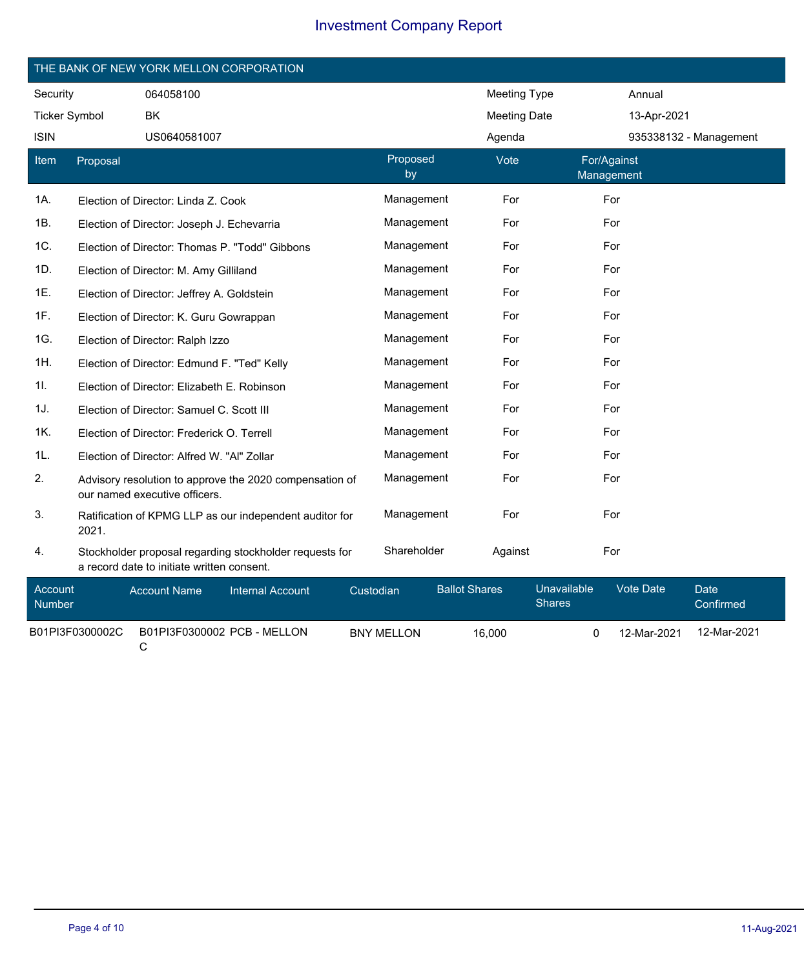|                      | THE BANK OF NEW YORK MELLON CORPORATION |                                                                                                       |                |                     |                           |  |  |  |  |
|----------------------|-----------------------------------------|-------------------------------------------------------------------------------------------------------|----------------|---------------------|---------------------------|--|--|--|--|
| Security             |                                         | 064058100                                                                                             |                | <b>Meeting Type</b> | Annual                    |  |  |  |  |
| <b>Ticker Symbol</b> |                                         | <b>BK</b>                                                                                             |                | <b>Meeting Date</b> | 13-Apr-2021               |  |  |  |  |
| <b>ISIN</b>          |                                         | US0640581007                                                                                          |                | Agenda              | 935338132 - Management    |  |  |  |  |
| Item                 | Proposal                                |                                                                                                       | Proposed<br>by | Vote                | For/Against<br>Management |  |  |  |  |
| 1A.                  |                                         | Election of Director: Linda Z. Cook                                                                   | Management     | For                 | For                       |  |  |  |  |
| 1B.                  |                                         | Election of Director: Joseph J. Echevarria                                                            | Management     | For                 | For                       |  |  |  |  |
| 1C.                  |                                         | Election of Director: Thomas P. "Todd" Gibbons                                                        | Management     | For                 | For                       |  |  |  |  |
| 1D.                  |                                         | Election of Director: M. Amy Gilliland                                                                | Management     | For                 | For                       |  |  |  |  |
| 1E.                  |                                         | Election of Director: Jeffrey A. Goldstein                                                            | Management     | For                 | For                       |  |  |  |  |
| 1F.                  |                                         | Election of Director: K. Guru Gowrappan                                                               | Management     | For                 | For                       |  |  |  |  |
| 1G.                  |                                         | Election of Director: Ralph Izzo                                                                      | Management     | For                 | For                       |  |  |  |  |
| 1H.                  |                                         | Election of Director: Edmund F. "Ted" Kelly                                                           | Management     | For                 | For                       |  |  |  |  |
| 11.                  |                                         | Election of Director: Elizabeth E. Robinson                                                           | Management     | For                 | For                       |  |  |  |  |
| 1J.                  |                                         | Election of Director: Samuel C. Scott III                                                             | Management     | For                 | For                       |  |  |  |  |
| 1K.                  |                                         | Election of Director: Frederick O. Terrell                                                            | Management     | For                 | For                       |  |  |  |  |
| 1L.                  |                                         | Election of Director: Alfred W. "Al" Zollar                                                           | Management     | For                 | For                       |  |  |  |  |
| 2.                   |                                         | Advisory resolution to approve the 2020 compensation of<br>our named executive officers.              | Management     | For                 | For                       |  |  |  |  |
| 3.                   | 2021.                                   | Ratification of KPMG LLP as our independent auditor for                                               | Management     | For                 | For                       |  |  |  |  |
| 4.                   |                                         | Stockholder proposal regarding stockholder requests for<br>a record date to initiate written consent. | Shareholder    | Against             | For                       |  |  |  |  |

| Account<br><b>Number</b> | <b>Account Name</b>         | Internal Account | Custodian         | <b>Ballot Shares</b> | Unavailable<br><b>Shares</b> | Vote Date   | Date<br>Confirmed |
|--------------------------|-----------------------------|------------------|-------------------|----------------------|------------------------------|-------------|-------------------|
| B01PI3F0300002C          | B01PI3F0300002 PCB - MELLON |                  | <b>BNY MELLON</b> | 16.000               |                              | 12-Mar-2021 | 12-Mar-2021       |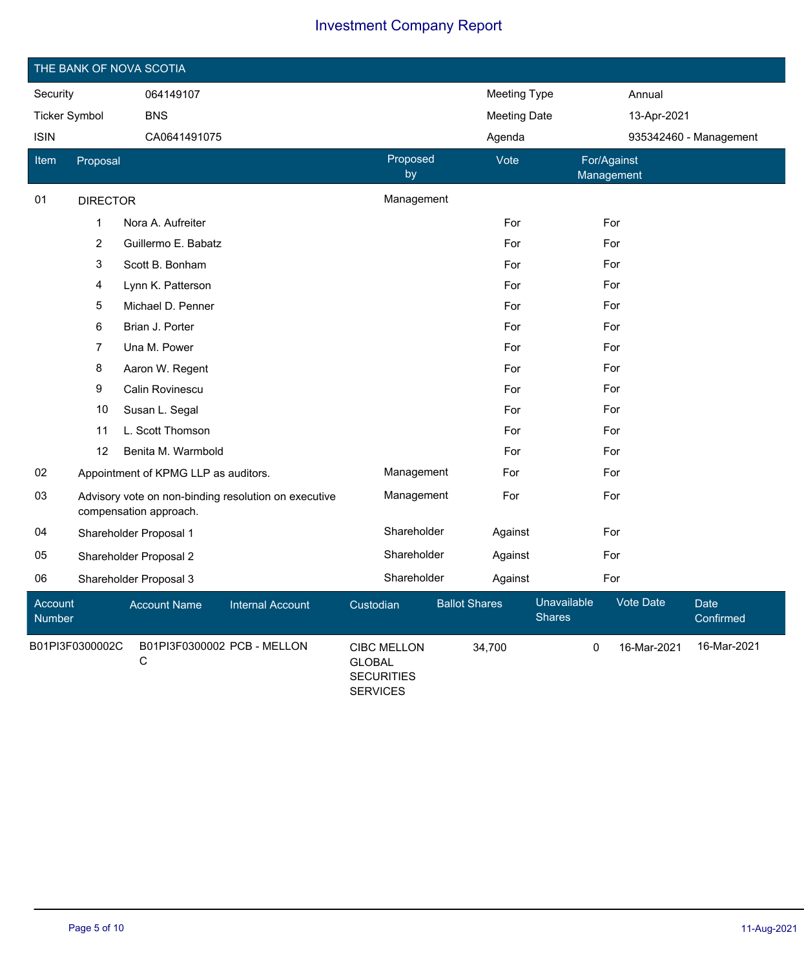|                          | THE BANK OF NOVA SCOTIA |                                      |                                                      |                                                                             |                      |                     |                              |             |                        |  |  |
|--------------------------|-------------------------|--------------------------------------|------------------------------------------------------|-----------------------------------------------------------------------------|----------------------|---------------------|------------------------------|-------------|------------------------|--|--|
| Security                 |                         | 064149107                            |                                                      |                                                                             |                      | <b>Meeting Type</b> |                              | Annual      |                        |  |  |
| <b>Ticker Symbol</b>     |                         | <b>BNS</b>                           |                                                      |                                                                             |                      | <b>Meeting Date</b> |                              | 13-Apr-2021 |                        |  |  |
| <b>ISIN</b>              |                         | CA0641491075                         |                                                      |                                                                             |                      | Agenda              |                              |             | 935342460 - Management |  |  |
| Item                     | Proposal                |                                      |                                                      | Proposed<br>by                                                              |                      | Vote                | Management                   | For/Against |                        |  |  |
| 01                       | <b>DIRECTOR</b>         |                                      |                                                      | Management                                                                  |                      |                     |                              |             |                        |  |  |
|                          | 1                       | Nora A. Aufreiter                    |                                                      |                                                                             |                      | For                 |                              | For         |                        |  |  |
|                          | $\overline{\mathbf{c}}$ | Guillermo E. Babatz                  |                                                      |                                                                             |                      | For                 |                              | For         |                        |  |  |
|                          | 3                       | Scott B. Bonham                      |                                                      |                                                                             |                      | For                 |                              | For         |                        |  |  |
|                          | 4                       | Lynn K. Patterson                    |                                                      |                                                                             |                      | For                 |                              | For         |                        |  |  |
|                          | 5<br>Michael D. Penner  |                                      |                                                      |                                                                             |                      | For                 |                              | For         |                        |  |  |
| Brian J. Porter<br>6     |                         |                                      |                                                      |                                                                             | For                  |                     | For                          |             |                        |  |  |
|                          | 7<br>Una M. Power       |                                      |                                                      |                                                                             |                      | For                 |                              | For         |                        |  |  |
|                          | 8<br>Aaron W. Regent    |                                      |                                                      |                                                                             | For                  |                     | For                          |             |                        |  |  |
|                          | 9                       | Calin Rovinescu                      |                                                      |                                                                             |                      | For                 |                              | For         |                        |  |  |
|                          | 10                      | Susan L. Segal                       |                                                      |                                                                             |                      | For                 |                              | For         |                        |  |  |
|                          | 11                      | L. Scott Thomson                     |                                                      |                                                                             |                      | For                 |                              | For         |                        |  |  |
|                          | 12                      | Benita M. Warmbold                   |                                                      |                                                                             |                      | For                 |                              | For         |                        |  |  |
| 02                       |                         | Appointment of KPMG LLP as auditors. |                                                      | Management                                                                  |                      | For                 |                              | For         |                        |  |  |
| 03                       |                         | compensation approach.               | Advisory vote on non-binding resolution on executive | Management                                                                  |                      | For                 |                              | For         |                        |  |  |
| 04                       |                         | Shareholder Proposal 1               |                                                      | Shareholder                                                                 |                      | Against             |                              | For         |                        |  |  |
| 05                       |                         | Shareholder Proposal 2               |                                                      | Shareholder                                                                 |                      | Against             |                              | For         |                        |  |  |
| 06                       |                         | Shareholder Proposal 3               |                                                      | Shareholder                                                                 |                      | Against             |                              | For         |                        |  |  |
| Account<br><b>Number</b> |                         | <b>Account Name</b>                  | <b>Internal Account</b>                              | Custodian                                                                   | <b>Ballot Shares</b> |                     | Unavailable<br><b>Shares</b> | Vote Date   | Date<br>Confirmed      |  |  |
|                          | B01PI3F0300002C         | С                                    | B01PI3F0300002 PCB - MELLON                          | <b>CIBC MELLON</b><br><b>GLOBAL</b><br><b>SECURITIES</b><br><b>SERVICES</b> |                      | 34,700              | $\mathbf 0$                  | 16-Mar-2021 | 16-Mar-2021            |  |  |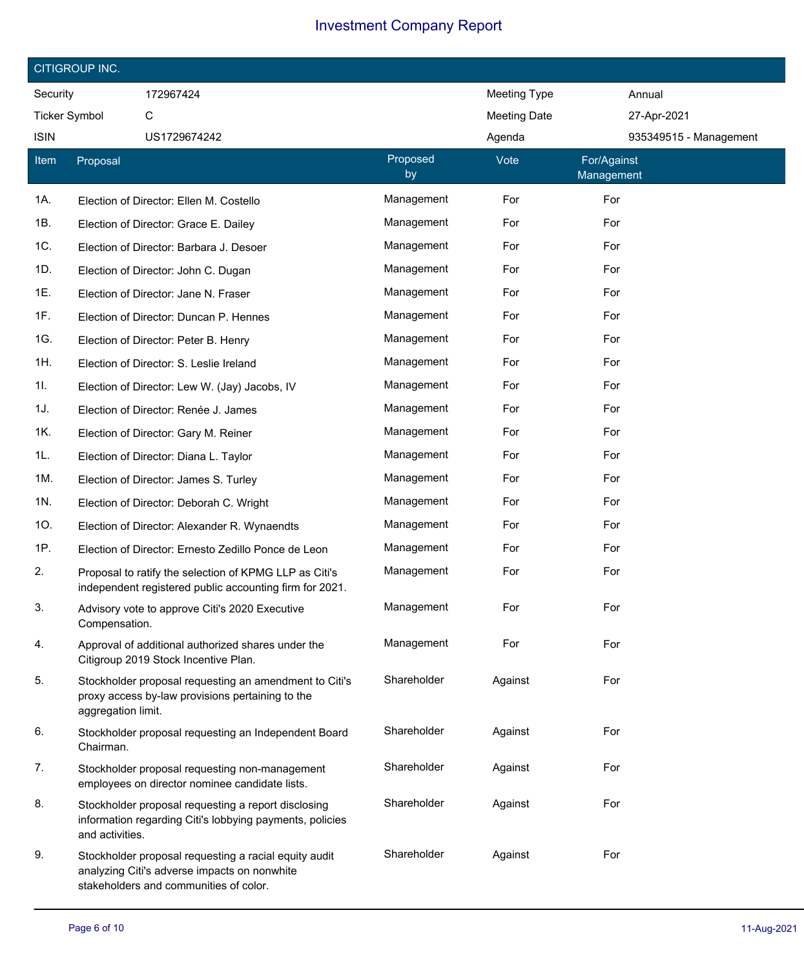| CITIGROUP INC.                                         |                    |                                                                                                                                                 |                |                     |                           |  |  |  |  |
|--------------------------------------------------------|--------------------|-------------------------------------------------------------------------------------------------------------------------------------------------|----------------|---------------------|---------------------------|--|--|--|--|
| Security<br>172967424<br><b>Meeting Type</b><br>Annual |                    |                                                                                                                                                 |                |                     |                           |  |  |  |  |
| <b>Ticker Symbol</b>                                   |                    | С                                                                                                                                               |                | <b>Meeting Date</b> | 27-Apr-2021               |  |  |  |  |
| <b>ISIN</b>                                            |                    | US1729674242                                                                                                                                    |                | Agenda              | 935349515 - Management    |  |  |  |  |
| Item                                                   | Proposal           |                                                                                                                                                 | Proposed<br>by | Vote                | For/Against<br>Management |  |  |  |  |
| 1A.                                                    |                    | Election of Director: Ellen M. Costello                                                                                                         | Management     | For                 | For                       |  |  |  |  |
| 1B.                                                    |                    | Election of Director: Grace E. Dailey                                                                                                           | Management     | For                 | For                       |  |  |  |  |
| 1C.                                                    |                    | Election of Director: Barbara J. Desoer                                                                                                         | Management     | For                 | For                       |  |  |  |  |
| 1D.                                                    |                    | Election of Director: John C. Dugan                                                                                                             | Management     | For                 | For                       |  |  |  |  |
| 1E.                                                    |                    | Election of Director: Jane N. Fraser                                                                                                            | Management     | For                 | For                       |  |  |  |  |
| 1F.                                                    |                    | Election of Director: Duncan P. Hennes                                                                                                          | Management     | For                 | For                       |  |  |  |  |
| 1G.                                                    |                    | Election of Director: Peter B. Henry                                                                                                            | Management     | For                 | For                       |  |  |  |  |
| 1H.                                                    |                    | Election of Director: S. Leslie Ireland                                                                                                         | Management     | For                 | For                       |  |  |  |  |
| 1I.                                                    |                    | Election of Director: Lew W. (Jay) Jacobs, IV                                                                                                   | Management     | For                 | For                       |  |  |  |  |
| 1J.                                                    |                    | Election of Director: Renée J. James                                                                                                            | Management     | For                 | For                       |  |  |  |  |
| 1K.                                                    |                    | Election of Director: Gary M. Reiner                                                                                                            | Management     | For                 | For                       |  |  |  |  |
| 1L.                                                    |                    | Election of Director: Diana L. Taylor                                                                                                           | Management     | For                 | For                       |  |  |  |  |
| 1M.                                                    |                    | Election of Director: James S. Turley                                                                                                           | Management     | For                 | For                       |  |  |  |  |
| 1N.                                                    |                    | Election of Director: Deborah C. Wright                                                                                                         | Management     | For                 | For                       |  |  |  |  |
| 10.                                                    |                    | Election of Director: Alexander R. Wynaendts                                                                                                    | Management     | For                 | For                       |  |  |  |  |
| 1P.                                                    |                    | Election of Director: Ernesto Zedillo Ponce de Leon                                                                                             | Management     | For                 | For                       |  |  |  |  |
| 2.                                                     |                    | Proposal to ratify the selection of KPMG LLP as Citi's<br>independent registered public accounting firm for 2021.                               | Management     | For                 | For                       |  |  |  |  |
| 3.                                                     | Compensation.      | Advisory vote to approve Citi's 2020 Executive                                                                                                  | Management     | For                 | For                       |  |  |  |  |
| 4.                                                     |                    | Approval of additional authorized shares under the<br>Citigroup 2019 Stock Incentive Plan.                                                      | Management     | For                 | For                       |  |  |  |  |
| 5.                                                     | aggregation limit. | Stockholder proposal requesting an amendment to Citi's<br>proxy access by-law provisions pertaining to the                                      | Shareholder    | Against             | For                       |  |  |  |  |
| 6.                                                     | Chairman.          | Stockholder proposal requesting an Independent Board                                                                                            | Shareholder    | Against             | For                       |  |  |  |  |
| 7.                                                     |                    | Stockholder proposal requesting non-management<br>employees on director nominee candidate lists.                                                | Shareholder    | Against             | For                       |  |  |  |  |
| 8.                                                     | and activities.    | Stockholder proposal requesting a report disclosing<br>information regarding Citi's lobbying payments, policies                                 | Shareholder    | Against             | For                       |  |  |  |  |
| 9.                                                     |                    | Stockholder proposal requesting a racial equity audit<br>analyzing Citi's adverse impacts on nonwhite<br>stakeholders and communities of color. | Shareholder    | Against             | For                       |  |  |  |  |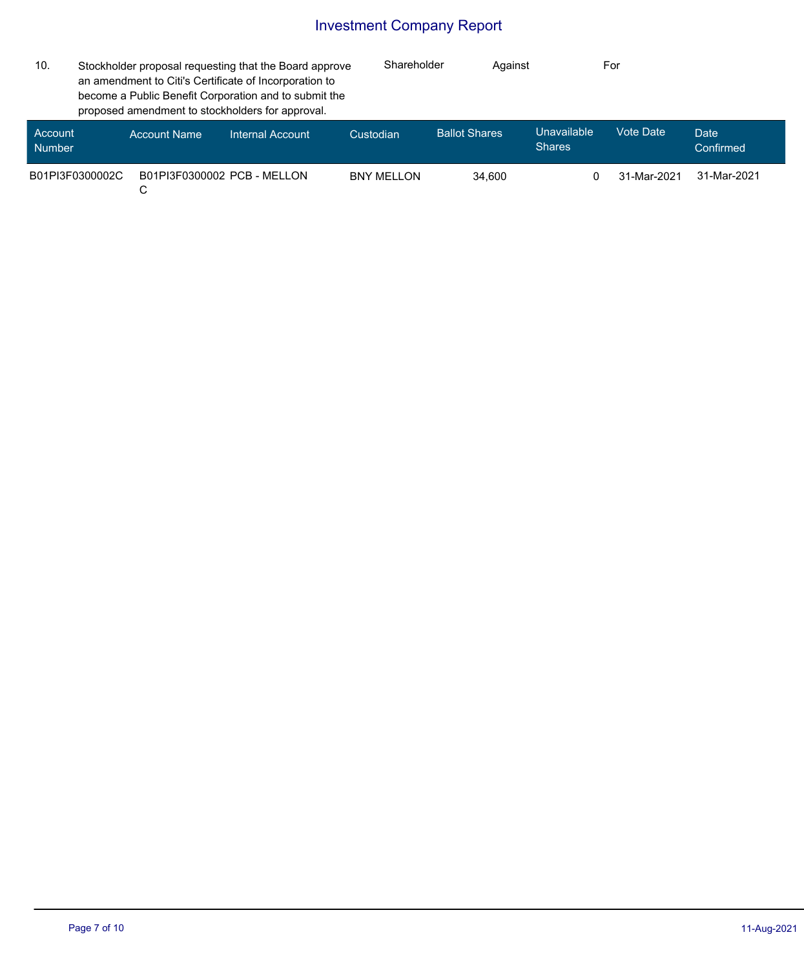| 10.                      | Stockholder proposal requesting that the Board approve<br>an amendment to Citi's Certificate of Incorporation to<br>become a Public Benefit Corporation and to submit the<br>proposed amendment to stockholders for approval. |                     | Shareholder                 | Against           |                      | For                          |                  |                   |
|--------------------------|-------------------------------------------------------------------------------------------------------------------------------------------------------------------------------------------------------------------------------|---------------------|-----------------------------|-------------------|----------------------|------------------------------|------------------|-------------------|
| Account<br><b>Number</b> |                                                                                                                                                                                                                               | <b>Account Name</b> | Internal Account            | Custodian         | <b>Ballot Shares</b> | Unavailable<br><b>Shares</b> | <b>Vote Date</b> | Date<br>Confirmed |
| B01PI3F0300002C          |                                                                                                                                                                                                                               | С                   | B01PI3F0300002 PCB - MFLLON | <b>BNY MELLON</b> | 34.600               |                              | 31-Mar-2021      | 31-Mar-2021       |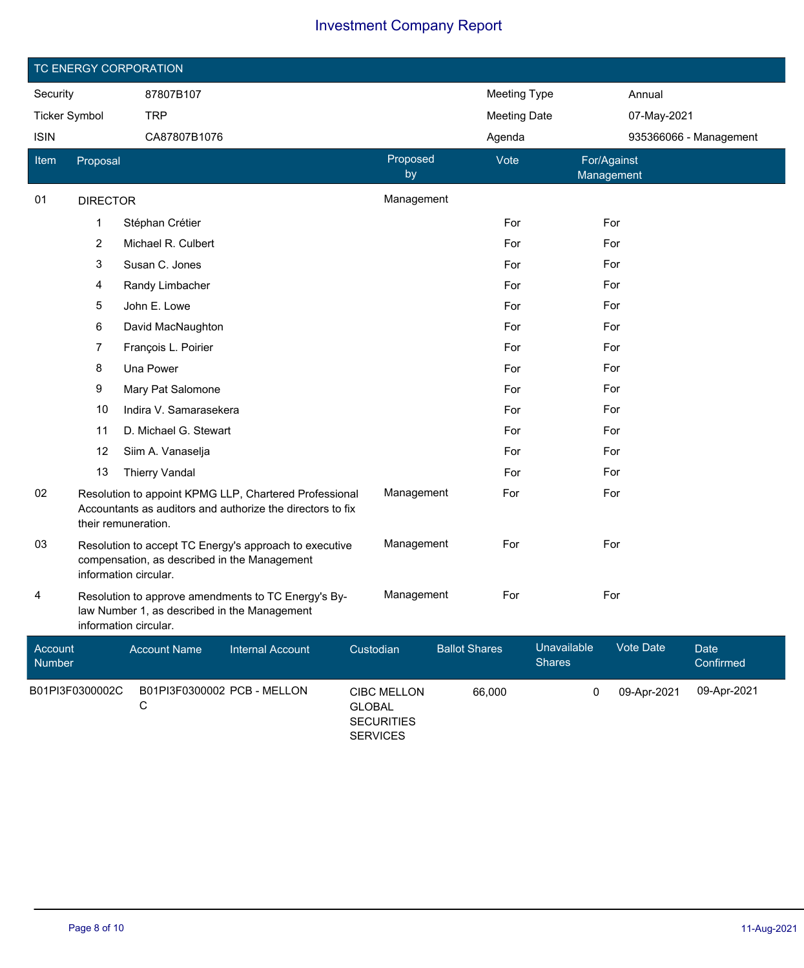|                      | TC ENERGY CORPORATION |                                                                                                                                             |                         |                                  |                                         |                      |                     |                              |                           |                        |  |
|----------------------|-----------------------|---------------------------------------------------------------------------------------------------------------------------------------------|-------------------------|----------------------------------|-----------------------------------------|----------------------|---------------------|------------------------------|---------------------------|------------------------|--|
| Security             |                       | 87807B107                                                                                                                                   |                         |                                  |                                         |                      | <b>Meeting Type</b> |                              | Annual                    |                        |  |
| <b>Ticker Symbol</b> |                       | <b>TRP</b>                                                                                                                                  |                         |                                  |                                         |                      | <b>Meeting Date</b> |                              | 07-May-2021               |                        |  |
| <b>ISIN</b>          |                       | CA87807B1076                                                                                                                                |                         |                                  |                                         |                      | Agenda              |                              |                           | 935366066 - Management |  |
| Item                 | Proposal              |                                                                                                                                             |                         |                                  | Proposed<br>by                          |                      | Vote                |                              | For/Against<br>Management |                        |  |
| 01                   | <b>DIRECTOR</b>       |                                                                                                                                             |                         |                                  | Management                              |                      |                     |                              |                           |                        |  |
|                      | 1                     | Stéphan Crétier                                                                                                                             |                         |                                  |                                         |                      | For                 |                              | For                       |                        |  |
|                      | $\overline{c}$        | Michael R. Culbert                                                                                                                          |                         |                                  |                                         |                      | For                 |                              | For                       |                        |  |
|                      | 3                     | Susan C. Jones                                                                                                                              |                         |                                  |                                         |                      | For                 |                              | For                       |                        |  |
|                      | 4                     | Randy Limbacher                                                                                                                             |                         |                                  |                                         |                      | For                 |                              | For                       |                        |  |
|                      | 5                     | John E. Lowe                                                                                                                                |                         |                                  |                                         |                      | For                 |                              | For                       |                        |  |
|                      | 6                     | David MacNaughton                                                                                                                           |                         |                                  |                                         |                      | For                 |                              | For                       |                        |  |
|                      | 7                     | François L. Poirier                                                                                                                         |                         |                                  |                                         |                      | For                 |                              | For                       |                        |  |
|                      | 8                     | Una Power                                                                                                                                   |                         |                                  |                                         |                      | For                 |                              | For                       |                        |  |
|                      | 9                     | Mary Pat Salomone                                                                                                                           |                         |                                  |                                         |                      | For                 |                              | For                       |                        |  |
|                      | 10                    | Indira V. Samarasekera                                                                                                                      |                         |                                  |                                         |                      | For                 |                              | For                       |                        |  |
|                      | 11                    | D. Michael G. Stewart                                                                                                                       |                         |                                  |                                         |                      | For                 |                              | For                       |                        |  |
|                      | 12                    | Siim A. Vanaselja                                                                                                                           |                         |                                  |                                         |                      | For                 |                              | For                       |                        |  |
|                      | 13                    | <b>Thierry Vandal</b>                                                                                                                       |                         |                                  |                                         |                      | For                 |                              | For                       |                        |  |
| 02                   |                       | Resolution to appoint KPMG LLP, Chartered Professional<br>Accountants as auditors and authorize the directors to fix<br>their remuneration. |                         |                                  | Management                              |                      | For                 |                              | For                       |                        |  |
| 03                   |                       | Resolution to accept TC Energy's approach to executive<br>compensation, as described in the Management<br>information circular.             |                         |                                  | Management                              |                      | For                 |                              | For                       |                        |  |
| 4                    |                       | Resolution to approve amendments to TC Energy's By-<br>law Number 1, as described in the Management<br>information circular.                |                         |                                  | Management                              |                      | For                 |                              | For                       |                        |  |
| Account<br>Number    |                       | <b>Account Name</b>                                                                                                                         | <b>Internal Account</b> | Custodian                        |                                         | <b>Ballot Shares</b> |                     | Unavailable<br><b>Shares</b> | Vote Date                 | Date<br>Confirmed      |  |
|                      | B01PI3F0300002C       | B01PI3F0300002 PCB - MELLON<br>С                                                                                                            |                         | <b>GLOBAL</b><br><b>SERVICES</b> | <b>CIBC MELLON</b><br><b>SECURITIES</b> |                      | 66,000              | $\mathbf 0$                  | 09-Apr-2021               | 09-Apr-2021            |  |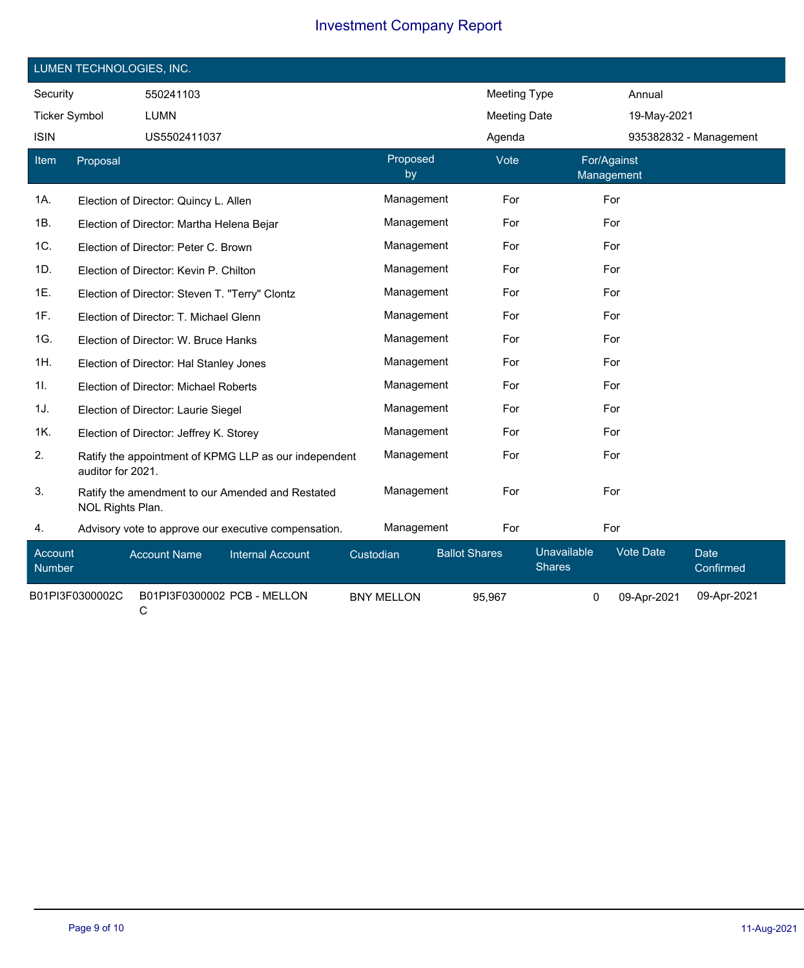|                      | LUMEN TECHNOLOGIES, INC. |                                                |                                                       |           |                   |                      |                     |                              |                           |                          |
|----------------------|--------------------------|------------------------------------------------|-------------------------------------------------------|-----------|-------------------|----------------------|---------------------|------------------------------|---------------------------|--------------------------|
| Security             |                          | 550241103                                      |                                                       |           |                   |                      | <b>Meeting Type</b> |                              | Annual                    |                          |
| <b>Ticker Symbol</b> |                          | <b>LUMN</b>                                    |                                                       |           |                   |                      | <b>Meeting Date</b> |                              | 19-May-2021               |                          |
| <b>ISIN</b>          |                          | US5502411037                                   |                                                       |           |                   |                      | Agenda              |                              |                           | 935382832 - Management   |
| Item                 | Proposal                 |                                                |                                                       |           | Proposed<br>by    |                      | Vote                |                              | For/Against<br>Management |                          |
| 1A.                  |                          | Election of Director: Quincy L. Allen          |                                                       |           | Management        |                      | For                 |                              | For                       |                          |
| 1B.                  |                          | Election of Director: Martha Helena Bejar      |                                                       |           | Management        |                      | For                 |                              | For                       |                          |
| 1C.                  |                          | Election of Director: Peter C. Brown           |                                                       |           | Management        |                      | For                 |                              | For                       |                          |
| 1D.                  |                          | Election of Director: Kevin P. Chilton         |                                                       |           | Management        |                      | For                 |                              | For                       |                          |
| 1E.                  |                          | Election of Director: Steven T. "Terry" Clontz |                                                       |           | Management        |                      | For                 |                              | For                       |                          |
| 1F.                  |                          | Election of Director: T. Michael Glenn         |                                                       |           | Management        |                      | For                 |                              | For                       |                          |
| 1G.                  |                          | Election of Director: W. Bruce Hanks           |                                                       |           | Management        |                      | For                 |                              | For                       |                          |
| 1H.                  |                          | Election of Director: Hal Stanley Jones        |                                                       |           | Management        |                      | For                 |                              | For                       |                          |
| 1I.                  |                          | Election of Director: Michael Roberts          |                                                       |           | Management        |                      | For                 |                              | For                       |                          |
| 1J.                  |                          | Election of Director: Laurie Siegel            |                                                       |           | Management        |                      | For                 |                              | For                       |                          |
| 1K.                  |                          | Election of Director: Jeffrey K. Storey        |                                                       |           | Management        |                      | For                 |                              | For                       |                          |
| 2.                   | auditor for 2021.        |                                                | Ratify the appointment of KPMG LLP as our independent |           | Management        |                      | For                 |                              | For                       |                          |
| 3.                   | NOL Rights Plan.         |                                                | Ratify the amendment to our Amended and Restated      |           | Management        |                      | For                 |                              | For                       |                          |
| 4.                   |                          |                                                | Advisory vote to approve our executive compensation.  |           | Management        |                      | For                 |                              | For                       |                          |
| Account<br>Number    |                          | <b>Account Name</b>                            | <b>Internal Account</b>                               | Custodian |                   | <b>Ballot Shares</b> |                     | Unavailable<br><b>Shares</b> | Vote Date                 | <b>Date</b><br>Confirmed |
|                      | B01PI3F0300002C          | С                                              | B01PI3F0300002 PCB - MELLON                           |           | <b>BNY MELLON</b> |                      | 95,967              | 0                            | 09-Apr-2021               | 09-Apr-2021              |